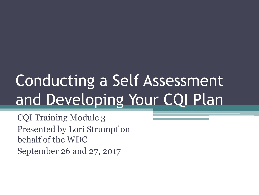# Conducting a Self Assessment and Developing Your CQI Plan

CQI Training Module 3 Presented by Lori Strumpf on behalf of the WDC September 26 and 27, 2017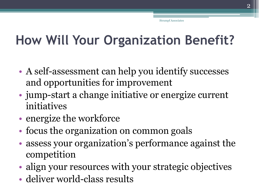## **How Will Your Organization Benefit?**

- A self-assessment can help you identify successes and opportunities for improvement
- jump-start a change initiative or energize current initiatives
- energize the workforce
- focus the organization on common goals
- assess your organization's performance against the competition
- align your resources with your strategic objectives
- deliver world-class results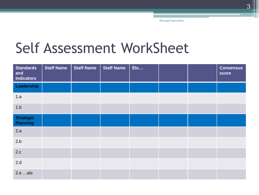## Self Assessment WorkSheet

| <b>Standards</b><br>and<br><b>Indicators</b> | <b>Staff Name</b> | <b>Staff Name</b> | <b>Staff Name</b> | Etc |  | <b>Consensus</b><br>score |
|----------------------------------------------|-------------------|-------------------|-------------------|-----|--|---------------------------|
| Leadership                                   |                   |                   |                   |     |  |                           |
| 1.a                                          |                   |                   |                   |     |  |                           |
| 1.b                                          |                   |                   |                   |     |  |                           |
| <b>Strategic</b><br><b>Planning</b>          |                   |                   |                   |     |  |                           |
| 2.a                                          |                   |                   |                   |     |  |                           |
| 2.b                                          |                   |                   |                   |     |  |                           |
| 2.c                                          |                   |                   |                   |     |  |                           |
| 2.d                                          |                   |                   |                   |     |  |                           |
| 2.eetc                                       |                   |                   |                   |     |  |                           |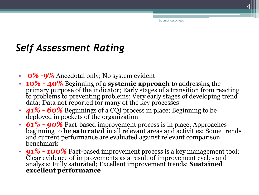#### *Self Assessment Rating*

- **0% -9%** Anecdotal only; No system evident
- **10% - 40%** Beginning of a **systemic approach** to addressing the primary purpose of the indicator; Early stages of a transition from reacting to problems to preventing problems; Very early stages of developing trend data; Data not reported for many of the key processes
- *41% - 60%* Beginnings of a CQI process in place; Beginning to be deployed in pockets of the organization
- *61% - 90%* Fact-based improvement process is in place; Approaches beginning to **be saturated** in all relevant areas and activities; Some trends and current performance are evaluated against relevant comparison benchmark
- *91% - 100%* Fact-based improvement process is a key management tool; Clear evidence of improvements as a result of improvement cycles and analysis; Fully saturated; Excellent improvement trends; **Sustained excellent performance**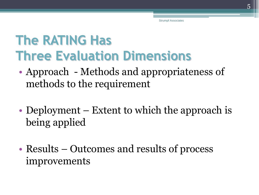## **The RATING Has Three Evaluation Dimensions**

- Approach Methods and appropriateness of methods to the requirement
- Deployment Extent to which the approach is being applied
- Results Outcomes and results of process improvements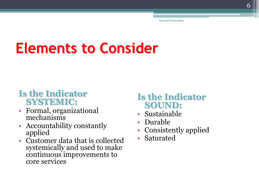## **Elements to Consider**

#### **Is the Indicator SYSTEMIC:**

- Formal, organizational mechanisms
- Accountability constantly applied
- Customer data that is collected systemically and used to make continuous improvements to core services

#### **Is the Indicator SOUND:**

- Sustainable
- Durable
- Consistently applied
- **Saturated**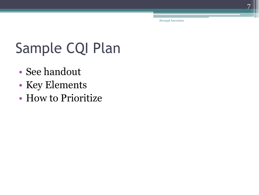## Sample CQI Plan

- See handout
- Key Elements
- How to Prioritize